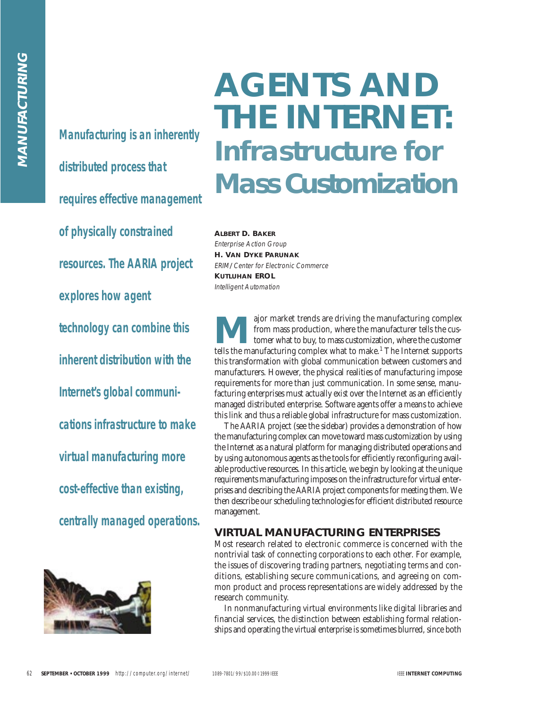**Manufacturing is an inherently distributed process that requires effective management of physically constrained resources. The AARIA project explores how agent technology can combine this inherent distribution with the Internet's global communications infrastructure to make virtual manufacturing more cost-effective than existing, centrally managed operations.**



# **AGENTS AND THE INTERNET: Infrastructure for Mass Customization**

**ALBERT D. BAKER** Enterprise Action Group **H. VAN DYKE PARUNAK** ERIM**/**Center for Electronic Commerce **KUTLUHAN EROL** Intelligent Automation

ajor market trends are driving the manufacturing complex<br>from mass production, where the manufacturer tells the cus-<br>tells the manufacturing complex what to make  $\frac{1}{2}$ .<br>The Internet supports from mass production, where the manufacturer tells the customer what to buy, to mass customization, where the customer tells the manufacturing complex what to make.<sup>1</sup> The Internet supports this transformation with global communication between customers and manufacturers. However, the physical realities of manufacturing impose requirements for more than just communication. In some sense, manufacturing enterprises must actually *exist* over the Internet as an efficiently managed distributed enterprise. Software agents offer a means to achieve this link and thus a reliable global infrastructure for mass customization.

The AARIA project (see the sidebar) provides a demonstration of how the manufacturing complex can move toward mass customization by using the Internet as a natural platform for managing distributed operations and by using autonomous agents as the tools for efficiently reconfiguring available productive resources. In this article, we begin by looking at the unique requirements manufacturing imposes on the infrastructure for virtual enterprises and describing the AARIA project components for meeting them. We then describe our scheduling technologies for efficient distributed resource management.

## **VIRTUAL MANUFACTURING ENTERPRISES**

Most research related to electronic commerce is concerned with the nontrivial task of connecting corporations to each other. For example, the issues of discovering trading partners, negotiating terms and conditions, establishing secure communications, and agreeing on common product and process representations are widely addressed by the research community.

In nonmanufacturing virtual environments like digital libraries and financial services, the distinction between establishing formal relationships and operating the virtual enterprise is sometimes blurred, since both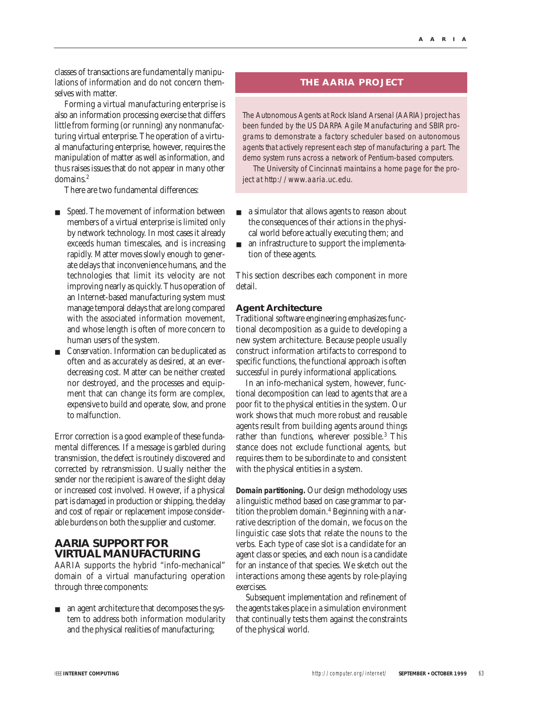classes of transactions are fundamentally manipulations of information and do not concern themselves with matter.

Forming a virtual manufacturing enterprise is also an information processing exercise that differs little from forming (or running) any nonmanufacturing virtual enterprise. The operation of a virtual manufacturing enterprise, however, requires the manipulation of matter as well as information, and thus raises issues that do not appear in many other domains.2

There are two fundamental differences:

- *Speed*. The movement of information between members of a virtual enterprise is limited only by network technology. In most cases it already exceeds human timescales, and is increasing rapidly. Matter moves slowly enough to generate delays that inconvenience humans, and the technologies that limit its velocity are not improving nearly as quickly. Thus operation of an Internet-based manufacturing system must manage temporal delays that are long compared with the associated information movement, and whose length is often of more concern to human users of the system.
- **Conservation.** Information can be duplicated as often and as accurately as desired, at an everdecreasing cost. Matter can be neither created nor destroyed, and the processes and equipment that can change its form are complex, expensive to build and operate, slow, and prone to malfunction.

Error correction is a good example of these fundamental differences. If a message is garbled during transmission, the defect is routinely discovered and corrected by retransmission. Usually neither the sender nor the recipient is aware of the slight delay or increased cost involved. However, if a physical part is damaged in production or shipping, the delay and cost of repair or replacement impose considerable burdens on both the supplier and customer.

## **AARIA SUPPORT FOR VIRTUAL MANUFACTURING**

AARIA supports the hybrid "info-mechanical" domain of a virtual manufacturing operation through three components:

■ an agent architecture that decomposes the system to address both information modularity and the physical realities of manufacturing;

## **THE AARIA PROJECT**

The Autonomous Agents at Rock Island Arsenal (AARIA) project has been funded by the US DARPA Agile Manufacturing and SBIR programs to demonstrate a factory scheduler based on autonomous agents that actively represent each step of manufacturing a part. The demo system runs across a network of Pentium-based computers.

The University of Cincinnati maintains a home page for the project at http://www.aaria.uc.edu.

- a simulator that allows agents to reason about the consequences of their actions in the physical world before actually executing them; and
- an infrastructure to support the implementation of these agents.

This section describes each component in more detail.

#### **Agent Architecture**

Traditional software engineering emphasizes functional decomposition as a guide to developing a new system architecture. Because people usually construct information artifacts to correspond to specific functions, the functional approach is often successful in purely informational applications.

In an info-mechanical system, however, functional decomposition can lead to agents that are a poor fit to the physical entities in the system. Our work shows that much more robust and reusable agents result from building agents around *things* rather than *functions*, wherever possible.<sup>3</sup> This stance does not exclude functional agents, but requires them to be subordinate to and consistent with the physical entities in a system.

**Domain partitioning.** Our design methodology uses a linguistic method based on case grammar to partition the problem domain.<sup>4</sup> Beginning with a narrative description of the domain, we focus on the linguistic case slots that relate the nouns to the verbs. Each type of case slot is a candidate for an agent class or species, and each noun is a candidate for an instance of that species. We sketch out the interactions among these agents by role-playing exercises.

Subsequent implementation and refinement of the agents takes place in a simulation environment that continually tests them against the constraints of the physical world.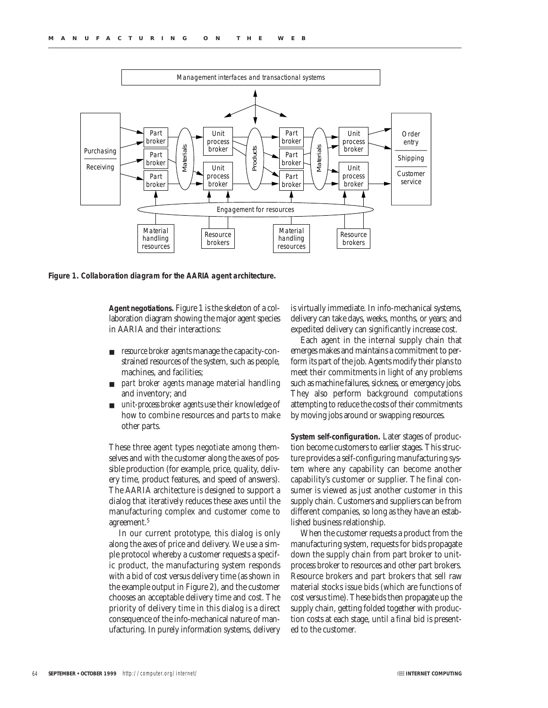

**Figure 1. Collaboration diagram for the AARIA agent architecture.** 

**Agent negotiations.** Figure 1 is the skeleton of a collaboration diagram showing the major agent species in AARIA and their interactions:

- *resource broker agents* manage the capacity-constrained resources of the system, such as people, machines, and facilities;
- *part broker agents* manage material handling and inventory; and
- *unit-process broker agents* use their knowledge of how to combine resources and parts to make other parts.

These three agent types negotiate among themselves and with the customer along the axes of possible production (for example, price, quality, delivery time, product features, and speed of answers). The AARIA architecture is designed to support a dialog that iteratively reduces these axes until the manufacturing complex and customer come to agreement.5

In our current prototype, this dialog is only along the axes of price and delivery. We use a simple protocol whereby a customer requests a specific product, the manufacturing system responds with a bid of cost versus delivery time (as shown in the example output in Figure 2), and the customer chooses an acceptable delivery time and cost. The priority of delivery time in this dialog is a direct consequence of the info-mechanical nature of manufacturing. In purely information systems, delivery

is virtually immediate. In info-mechanical systems, delivery can take days, weeks, months, or years; and expedited delivery can significantly increase cost.

Each agent in the internal supply chain that emerges makes and maintains a commitment to perform its part of the job. Agents modify their plans to meet their commitments in light of any problems such as machine failures, sickness, or emergency jobs. They also perform background computations attempting to reduce the costs of their commitments by moving jobs around or swapping resources.

**System self-configuration.** Later stages of production become customers to earlier stages. This structure provides a self-configuring manufacturing system where any capability can become another capability's customer or supplier. The final consumer is viewed as just another customer in this supply chain. Customers and suppliers can be from different companies, so long as they have an established business relationship.

When the customer requests a product from the manufacturing system, requests for bids propagate down the supply chain from part broker to unitprocess broker to resources and other part brokers. Resource brokers and part brokers that sell raw material stocks issue bids (which are functions of cost versus time). These bids then propagate up the supply chain, getting folded together with production costs at each stage, until a final bid is presented to the customer.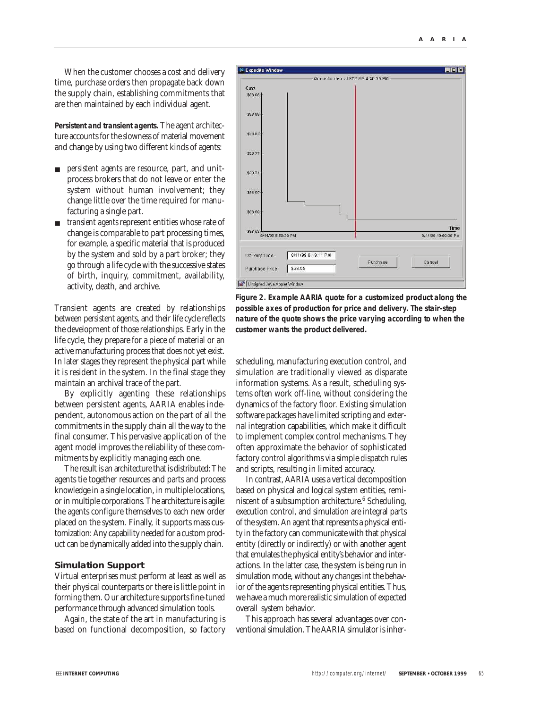When the customer chooses a cost and delivery time, purchase orders then propagate back down the supply chain, establishing commitments that are then maintained by each individual agent.

**Persistent and transient agents.**The agent architecture accounts for the slowness of material movement and change by using two different kinds of agents:

- *persistent agents* are resource, part, and unitprocess brokers that do not leave or enter the system without human involvement; they change little over the time required for manufacturing a single part.
- *transient agents* represent entities whose rate of change is comparable to part processing times, for example, a specific material that is produced by the system and sold by a part broker; they go through a life cycle with the successive states of birth, inquiry, commitment, availability, activity, death, and archive.

Transient agents are created by relationships between persistent agents, and their life cycle reflects the development of those relationships. Early in the life cycle, they prepare for a piece of material or an active manufacturing process that does not yet exist. In later stages they represent the physical part while it is resident in the system. In the final stage they maintain an archival trace of the part.

By explicitly agenting these relationships between persistent agents, AARIA enables independent, autonomous action on the part of all the commitments in the supply chain all the way to the final consumer. This pervasive application of the agent model improves the reliability of these commitments by explicitly managing each one.

The result is an architecture that is distributed: The agents tie together resources and parts and process knowledge in a single location, in multiple locations, or in multiple corporations. The architecture is agile: the agents configure themselves to each new order placed on the system. Finally, it supports mass customization: Any capability needed for a custom product can be dynamically added into the supply chain.

#### **Simulation Support**

Virtual enterprises must perform at least as well as their physical counterparts or there is little point in forming them. Our architecture supports fine-tuned performance through advanced simulation tools.

Again, the state of the art in manufacturing is based on functional decomposition, so factory



**Figure 2. Example AARIA quote for a customized product along the possible axes of production for price and delivery. The stair-step nature of the quote shows the price varying according to when the customer wants the product delivered.**

scheduling, manufacturing execution control, and simulation are traditionally viewed as disparate information systems. As a result, scheduling systems often work off-line, without considering the dynamics of the factory floor. Existing simulation software packages have limited scripting and external integration capabilities, which make it difficult to implement complex control mechanisms. They often approximate the behavior of sophisticated factory control algorithms via simple dispatch rules and scripts, resulting in limited accuracy.

In contrast, AARIA uses a vertical decomposition based on physical and logical system entities, reminiscent of a subsumption architecture.<sup>6</sup> Scheduling, execution control, and simulation are integral parts of the system. An agent that represents a physical entity in the factory can communicate with that physical entity (directly or indirectly) or with another agent that emulates the physical entity's behavior and interactions. In the latter case, the system is being run in simulation mode, without any changes int the behavior of the agents representing physical entities. Thus, we have a much more realistic simulation of expected overall system behavior.

This approach has several advantages over conventional simulation. The AARIA simulator is inher-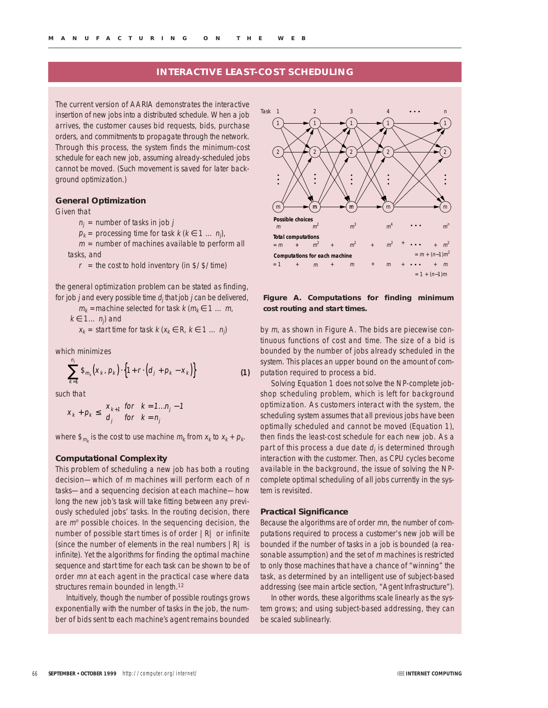## **INTERACTIVE LEAST-COST SCHEDULING**

The current version of AARIA demonstrates the interactive insertion of new jobs into a distributed schedule. When a job arrives, the customer causes bid requests, bids, purchase orders, and commitments to propagate through the network. Through this process, the system finds the minimum-cost schedule for each new job, assuming already-scheduled jobs cannot be moved. (Such movement is saved for later background optimization.)

#### **General Optimization**

Given that

 $n_i$  = number of tasks in job j

 $p_k$  = processing time for task  $k$  ( $k \in 1 ... n_j$ ),

 $m =$  number of machines available to perform all tasks, and

 $r =$  the cost to hold inventory (in \$/\$/time)

the general optimization problem can be stated as finding, for job *j* and every possible time  $d_i$  that job *j* can be delivered,

 $m_k$  = machine selected for task  $k$  ( $m_k \in 1 \ldots m$ ,

 $k \in 1...$   $n_j$ ) and

 $x_k =$  start time for task  $k$  ( $x_k \in R$ ,  $k \in 1 ... n_j$ )

which minimizes

$$
\sum_{k=1}^{n_j} \mathfrak{S}_{m_k}(x_k, p_k) \cdot \left\{1 + r \cdot (d_j + p_k - x_k)\right\} \tag{1}
$$

such that

$$
x_k + p_k \leq \begin{cases} x_{k+1} & \text{for} \quad k = 1...n_j - 1 \\ d_j & \text{for} \quad k = n_j \end{cases}
$$

where  $\mathfrak{s}_{m_k}$  is the cost to use machine  $m_k$  from  $x_k$  to  $x_k + p_k$ .

#### **Computational Complexity**

This problem of scheduling a new job has both a routing decision—which of <sup>m</sup> machines will perform each of <sup>n</sup> tasks—and a sequencing decision at each machine—how long the new job's task will take fitting between any previously scheduled jobs' tasks. In the routing decision, there are  $m<sup>n</sup>$  possible choices. In the sequencing decision, the number of possible start times is of order  $|R|$  or infinite (since the number of elements in the real numbers  $|R|$  is infinite). Yet the algorithms for finding the optimal machine sequence and start time for each task can be shown to be of order mn at each agent in the practical case where data structures remain bounded in length.<sup>12</sup>

Intuitively, though the number of possible routings grows exponentially with the number of tasks in the job, the number of bids sent to each machine's agent remains bounded



#### **Figure A. Computations for finding minimum cost routing and start times.**

by m, as shown in Figure A. The bids are piecewise continuous functions of cost and time. The size of a bid is bounded by the number of jobs already scheduled in the system. This places an upper bound on the amount of computation required to process a bid.

Solving Equation 1 does not solve the NP-complete jobshop scheduling problem, which is left for background optimization. As customers interact with the system, the scheduling system assumes that all previous jobs have been optimally scheduled and cannot be moved (Equation 1), then finds the least-cost schedule for each new job. As a part of this process a due date  $d_i$  is determined through interaction with the customer. Then, as CPU cycles become available in the background, the issue of solving the NPcomplete optimal scheduling of all jobs currently in the system is revisited.

#### **Practical Significance**

Because the algorithms are of order mn, the number of computations required to process a customer's new job will be bounded if the number of tasks in a job is bounded (a reasonable assumption) and the set of <sup>m</sup> machines is restricted to only those machines that have a chance of "winning" the task, as determined by an intelligent use of subject-based addressing (see main article section, "Agent Infrastructure").

In other words, these algorithms scale linearly as the system grows; and using subject-based addressing, they can be scaled sublinearly.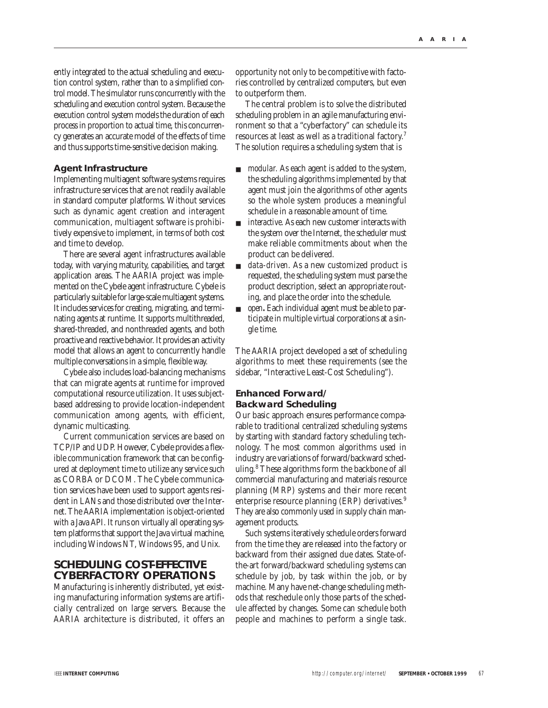ently integrated to the actual scheduling and execution control system, rather than to a simplified control model. The simulator runs concurrently with the scheduling and execution control system. Because the execution control system models the duration of each process in proportion to actual time, this concurrency generates an accurate model of the effects of time and thus supports time-sensitive decision making.

#### **Agent Infrastructure**

Implementing multiagent software systems requires infrastructure services that are not readily available in standard computer platforms. Without services such as dynamic agent creation and interagent communication, multiagent software is prohibitively expensive to implement, in terms of both cost and time to develop.

There are several agent infrastructures available today, with varying maturity, capabilities, and target application areas. The AARIA project was implemented on the Cybele agent infrastructure. Cybele is particularly suitable for large-scale multiagent systems. It includes services for creating, migrating, and terminating agents at runtime. It supports multithreaded, shared-threaded, and nonthreaded agents, and both proactive and reactive behavior. It provides an activity model that allows an agent to concurrently handle multiple conversations in a simple, flexible way.

Cybele also includes load-balancing mechanisms that can migrate agents at runtime for improved computational resource utilization. It uses subjectbased addressing to provide location-independent communication among agents, with efficient, dynamic multicasting.

Current communication services are based on TCP/IP and UDP. However, Cybele provides a flexible communication framework that can be configured at deployment time to utilize any service such as CORBA or DCOM. The Cybele communication services have been used to support agents resident in LANs and those distributed over the Internet. The AARIA implementation is object-oriented with a Java API. It runs on virtually all operating system platforms that support the Java virtual machine, including Windows NT, Windows 95, and Unix.

## **SCHEDULING COST-EFFECTIVE CYBERFACTORY OPERATIONS**

Manufacturing is inherently distributed, yet existing manufacturing information systems are artificially centralized on large servers. Because the AARIA architecture is distributed, it offers an

opportunity not only to be competitive with factories controlled by centralized computers, but even to outperform them.

The central problem is to solve the distributed scheduling problem in an agile manufacturing environment so that a "cyberfactory" can schedule its resources at least as well as a traditional factory. 7 The solution requires a scheduling system that is

- *modular.* As each agent is added to the system, the scheduling algorithms implemented by that agent must join the algorithms of other agents so the whole system produces a meaningful schedule in a reasonable amount of time.
- *interactive*. As each new customer interacts with the system over the Internet, the scheduler must make reliable commitments about when the product can be delivered.
- *data-driven*. As a new customized product is requested, the scheduling system must parse the product description, select an appropriate routing, and place the order into the schedule.
- *open*. Each individual agent must be able to participate in multiple virtual corporations at a single time.

The AARIA project developed a set of scheduling algorithms to meet these requirements (see the sidebar, "Interactive Least-Cost Scheduling").

## **Enhanced Forward/ Backward Scheduling**

Our basic approach ensures performance comparable to traditional centralized scheduling systems by starting with standard factory scheduling technology. The most common algorithms used in industry are variations of forward/backward scheduling.8 These algorithms form the backbone of all commercial manufacturing and materials resource planning (MRP) systems and their more recent enterprise resource planning (ERP) derivatives.<sup>9</sup> They are also commonly used in supply chain management products.

Such systems iteratively schedule orders forward from the time they are released into the factory or backward from their assigned due dates. State-ofthe-art forward/backward scheduling systems can schedule by job, by task within the job, or by machine. Many have net-change scheduling methods that reschedule only those parts of the schedule affected by changes. Some can schedule both people and machines to perform a single task.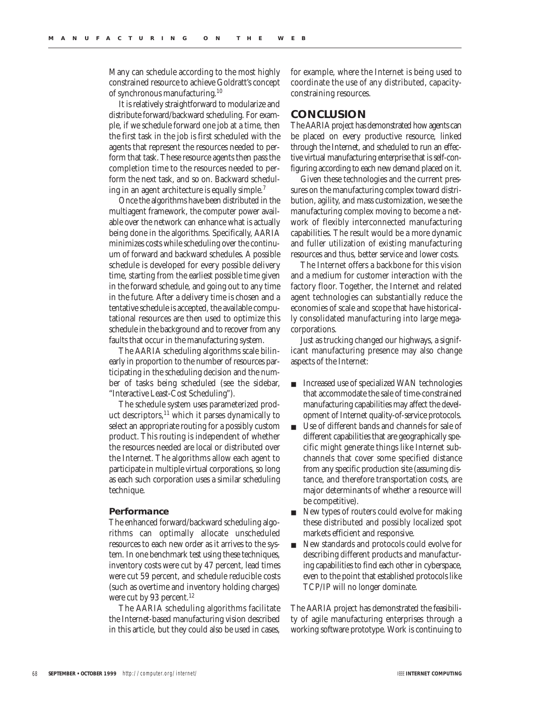Many can schedule according to the most highly constrained resource to achieve Goldratt's concept of synchronous manufacturing.10

It is relatively straightforward to modularize and distribute forward/backward scheduling. For example, if we schedule forward one job at a time, then the first task in the job is first scheduled with the agents that represent the resources needed to perform that task. These resource agents then pass the completion time to the resources needed to perform the next task, and so on. Backward scheduling in an agent architecture is equally simple.7

Once the algorithms have been distributed in the multiagent framework, the computer power available over the network can enhance what is actually being done in the algorithms. Specifically, AARIA minimizes costs while scheduling over the continuum of forward and backward schedules. A possible schedule is developed for every possible delivery time, starting from the earliest possible time given in the forward schedule, and going out to any time in the future. After a delivery time is chosen and a tentative schedule is accepted, the available computational resources are then used to optimize this schedule in the background and to recover from any faults that occur in the manufacturing system.

The AARIA scheduling algorithms scale bilinearly in proportion to the number of resources participating in the scheduling decision and the number of tasks being scheduled (see the sidebar, "Interactive Least-Cost Scheduling").

The schedule system uses parameterized product descriptors, $11$  which it parses dynamically to select an appropriate routing for a possibly custom product. This routing is independent of whether the resources needed are local or distributed over the Internet. The algorithms allow each agent to participate in multiple virtual corporations, so long as each such corporation uses a similar scheduling technique.

#### **Performance**

The enhanced forward/backward scheduling algorithms can optimally allocate unscheduled resources to each new order as it arrives to the system. In one benchmark test using these techniques, inventory costs were cut by 47 percent, lead times were cut 59 percent, and schedule reducible costs (such as overtime and inventory holding charges) were cut by 93 percent.<sup>12</sup>

The AARIA scheduling algorithms facilitate the Internet-based manufacturing vision described in this article, but they could also be used in cases,

for example, where the Internet is being used to coordinate the use of any distributed, capacityconstraining resources.

## **CONCLUSION**

The AARIA project has demonstrated how agents can be placed on every productive resource, linked through the Internet, and scheduled to run an effective virtual manufacturing enterprise that is self-configuring according to each new demand placed on it.

Given these technologies and the current pressures on the manufacturing complex toward distribution, agility, and mass customization, we see the manufacturing complex moving to become a network of flexibly interconnected manufacturing capabilities. The result would be a more dynamic and fuller utilization of existing manufacturing resources and thus, better service and lower costs.

The Internet offers a backbone for this vision and a medium for customer interaction with the factory floor. Together, the Internet and related agent technologies can substantially reduce the economies of scale and scope that have historically consolidated manufacturing into large megacorporations.

Just as trucking changed our highways, a significant manufacturing presence may also change aspects of the Internet:

- Increased use of specialized WAN technologies that accommodate the sale of time-constrained manufacturing capabilities may affect the development of Internet quality-of-service protocols.
- Use of different bands and channels for sale of different capabilities that are geographically specific might generate things like Internet subchannels that cover some specified distance from any specific production site (assuming distance, and therefore transportation costs, are major determinants of whether a resource will be competitive).
- New types of routers could evolve for making these distributed and possibly localized spot markets efficient and responsive.
- New standards and protocols could evolve for describing different products and manufacturing capabilities to find each other in cyberspace, even to the point that established protocols like TCP/IP will no longer dominate.

The AARIA project has demonstrated the feasibility of agile manufacturing enterprises through a working software prototype. Work is continuing to